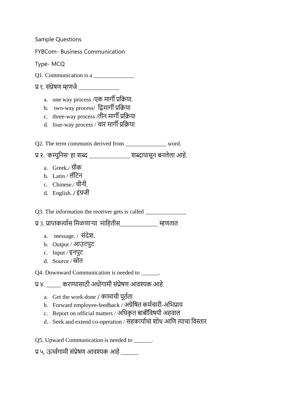Sample Questions FYBCom- Business Communication Type- MCQ Q1. Communication is a प्र १. संप्रेषण म्हणजे a. one way process /एक मार्गी प्रक्रिया. b. two-way process/ द्विमार्गी प्रक्रिया c. three-way process / d. four-way process / चार मार्गी प्रक्रिया Q2. The term communis derived from \_\_\_\_\_\_\_\_\_\_\_\_\_\_\_ word. प्र २. 'कम्युनिस' हा शब्द \_\_\_\_\_\_\_\_\_\_\_\_\_\_ शब्दापासून बनलेला आहे. a. Greek./ क b. Latin / लॅटिन c. Chinese./ चीनी. d. English. / Q3. The information the receiver gets is called \_\_\_\_\_\_\_\_\_\_\_\_\_\_\_\_\_\_\_\_\_\_\_\_\_\_\_\_\_\_\_\_ प्र ३. प्राप्तकर्त्यास मिळणाऱ्या माहितीस व्याला च्या पहणतात a.  $m$ essage. /  $\overrightarrow{H}$ देश. b. Output / c. Input / d. Source / Q4. Downward Communication is needed to \_\_\_\_\_\_. प्र ४. व्यारा का का स्थानामी संप्रेषण आवश्यक आहे. a. Get the work done / क b. Forward employee-feedback / अग्रेषित कर्मचारी-अभिप्राय c. Report on official matters / क d. Seek and extend co-operation / क Q5. Upward Communication is needed to \_\_\_\_\_\_. प्र ५. ऊर्ध्वगामी संप्रेषण आवश्यक आहे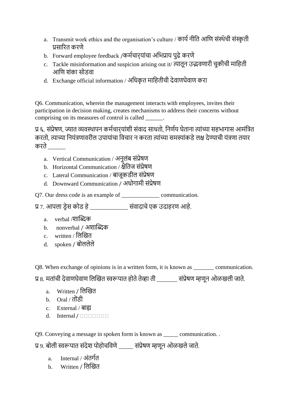- a. Transmit work ethics and the organisation's culture / कार्य नीति आणि संस्थेची संस्कृती प्रसारित करणे
- b. Forward employee feedback /कर्मचार्**यांचा अभिप्राय पुढे कर**णे
- c. Tackle misinformation and suspicion arising out it/ क आणि शंका सोडवा
- d. Exchange official information / अधिकृत माहितीची देवाणघेवाण करा

Q6. Communication, wherein the management interacts with employees, invites their participation in decision making, creates mechanisms to address their concerns without comprising on its measures of control is called  $\Box$ 

प्र ६. संप्रेषण, ज्यात व्यवस्थापन कर्मचार्**यांशी संवाद साधतो, निर्णय घेताना त्यांच्या** सहभागास आमंत्रित करतो, त्याच्या नियंत्रणावरील उपायांचा विचार न करता त्यांच्या समस्यांकडे लक्ष देण्याची यंत्रणा तयार करते

- a. Vertical Communication /
- b. Horizontal Communication / क्षैतिज संप्रेषण
- c. Lateral Communication / क
- d. Downward Communication /
- Q7. Our dress code is an example of communication.
- प्र ७. आपला ड्रेस कोड हे \_\_\_\_\_\_\_\_\_\_\_\_\_ संवादाचे एक उदाहरण आहे.
	- a. verbal /शाब्दिक
	- b. nonverbal / अशाब्दिक
	- c. written /
	- d. spoken /

Q8. When exchange of opinions is in a written form, it is known as \_\_\_\_\_\_\_ communication.

प्र 8. मतांची देवाणघेवाण लिखित स्वरूपात होते तेव्हा ती \_\_\_\_\_\_\_ संप्रेषण म्हणून ओळखली जाते.

- a. Written / लिखित
- b. Oral /
- c. External /
- d. Internal  $/ \square \square \square \square \square$

Q9. Conveying a message in spoken form is known as \_\_\_\_\_ communication. .

प्र 9. बोली स्वरूपात संदेश पोहोचविणे \_\_\_\_\_ संप्रेषण म्हणून ओळखले जाते.

- a. Internal / अंतर्गत
- **b.** Written / लिखित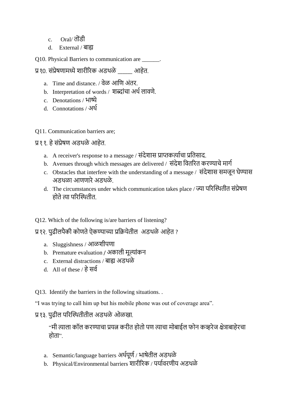- c. Oral/
- d. External / बाह्य

Q10. Physical Barriers to communication are \_\_\_\_\_\_.

- प्र १०. संप्रेषणामध्ये शारीरिक अडथळे व्याहेत.
	- a. Time and distance. / वेळ आणि अंतर.
	- b. Interpretation of words / शब्दांचा अर्थ लावणे.
	- c. Denotations / भाष्ये
	- d. Connotations / अर्थ

Q11. Communication barriers are;

- प्र११. हे संप्रेषण अडथळे आहेत.
	- a. A receiver's response to a message / संदेशास प्राप्तकर्त्याचा प्रतिसाद.
	- b. Avenues through which messages are delivered / संदेश वितरित करण्याचे मार्ग
	- c. Obstacles that interfere with the understanding of a message / अडथळा आणणारे अडथळे
	- d. The circumstances under which communication takes place / ज्या परिस्थितीत संप्रेषण होते त्या परिस्थितीत.
- Q12. Which of the following is/are barriers of listening?
- प्र १२. पढीलपैकी कोणते ऐकण्याच्या प्रक्रियेतील अडथळे आहेत ?
	- a. Sluggishness / आळशीपणा
	- b. Premature evaluation / अकाली मूल्यांकन
	- c. External distractions /
	- d. All of these / हे सर्व
- Q13. Identify the barriers in the following situations. .

"I was trying to call him up but his mobile phone was out of coverage area".

## प्र १३. पढील परिस्थितीतील अडथळे ओळखा.

"मी त्याला कॉल करण्याचा प्रयत्न करीत होतो पण त्याचा मोबाईल फोन कव्हरेज क्षेत्राबाहेरचा होता".

- a. Semantic/language barriers अर्थपूर्ण / भाषेतील अडथळे
- b. Physical/Environmental barriers शारीरिक / पर्यावरणीय अडथळे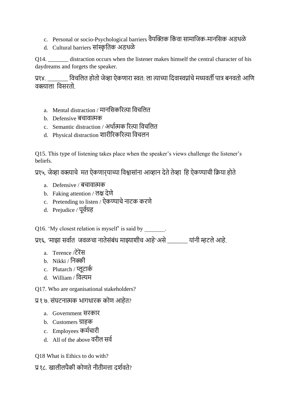- c. Personal or socio-Psychological barriers वैयक्तिक किंवा सामाजिक-मानसिक अडथळे
- d. Cultural barriers क

Q14. distraction occurs when the listener makes himself the central character of his daydreams and forgets the speaker.

प्र१४. \_\_\_\_\_\_\_ विचलित होतो जेव्हा ऐकणारा स्वत: ला त्याच्या दिवास्वप्नांचे मध्यवर्ती पात्र बनवतो आणि वक्त्याला विसरतो

- a. Mental distraction / क
- b. Defensive क
- c. Semantic distraction / क
- d. Physical distraction क

Q15. This type of listening takes place when the speaker"s views challenge the listener"s beliefs.

प्र१५. जेव्हा वक्त्याचे मत ऐकणार् याच्या विश्वासांना आव्हान देते तेव्हा हि ऐकण्याची क्रिया होते

- a. Defensive / क
- b. Faking attention / लक्ष देणे
- c. Pretending to listen / ऐकण्याचे नाटक करणे
- d. Prejudice / पूर्वग्रह

Q16. 'My closest relation is myself' is said by  $\qquad \qquad$ .

.<br>प्रश्६. 'माझा सर्वात) जवळचा नातेसंबंध माझ्याशीच आहे<sup>,</sup>असे यांनी म्हटले आहे.

- a. Terence *(*टेरेंस
- b. Nikki /
- c. Plutarch / क
- d. William /
- Q17. Who are organisational stakeholders?

प्र१७. संघटनात्मक भागधारक कोण आहेत?

- a. Government क
- b. Customers क
- c. Employees क
- d. All of the above

Q18 What is Ethics to do with?

प्र १८. खालीलपैकी कोणते नीतीमत्ता दर्शवते?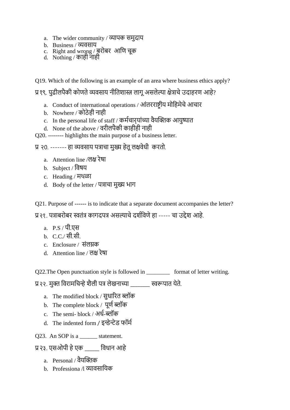- a. The wider community / व्यापक समुदाय
- b. Business /
- c. Right and wrong / बुरोबर आणि चूक
- d. Nothing / क
- Q19. Which of the following is an example of an area where business ethics apply?

प्र १९. पुढीलपैकी कोणते व्यवसाय नीतिशास्त्र लागू असलेल्या क्षेत्राचे उदाहरण आहे?

- a. Conduct of international operations / आंतरराष्ट्रीय मोहिमेचे आचार
- b. Nowhere / कोठेही नाही
- c. In the personal life of staff / कर्मचार्**यांच्या वैयक्तिक** आयुष्यात
- d. None of the above / वरीलपैकी काहीही नाही
- Q20. -------- highlights the main purpose of a business letter.

प्र २०. ------- हा व्यवसाय पत्राचा मुख्य हेतू लक्षवेधी करतो.

- a. Attention line /लक्ष रेषा
- b. Subject /
- c. Heading /
- d. Body of the letter /
- Q21. Purpose of ------ is to indicate that a separate document accompanies the letter?
- प्र २१. पत्राबरोबर स्वतंत्र कागदपत्र असल्याचे दर्शविणे हा ----- चा उद्देश आहे.
	- a.  $P.S / \Psi$ एस
	- b.  $C.C./$  सी.सी.
	- c. Enclosure / क
	- d. Attention line / लक्ष रेषा

Q22.The Open punctuation style is followed in \_\_\_\_\_\_\_\_ format of letter writing.

प्र २२. मुक्त विरामचिन्हे शैली पत्र लेखनाच्या क्या रूवरूपात येते.

- a. The modified block / क
- b. The complete block / क
- c. The semi- block / अर्ध-ब्लॉक
- d. The indented form / इन्डेन्टेड फॉर्म

Q23. An SOP is a \_\_\_\_\_\_\_ statement.

- प्र २३. एसओपी हे एक \_\_\_\_\_\_ विधान आहे
	- a Personal / वैयक्तिक
	- b. Professiona /l व्यावसायिक